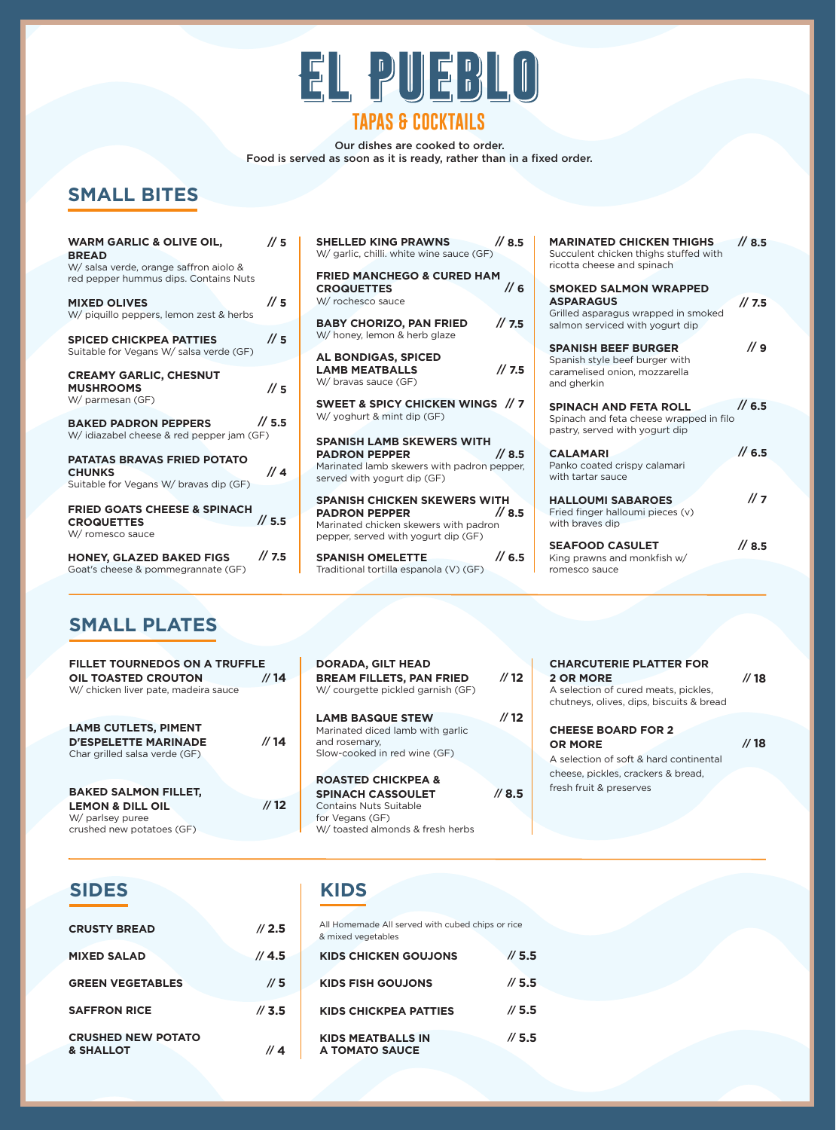

# **TAPAS & COCKTAILS**

Our dishes are cooked to order. Food is served as soon as it is ready, rather than in a fixed order.

**// 8.5**

**// 7.5**

**// 9**

**// 6.5**

**// 6.5**

**// 7**

**// 8.5**

## **SMALL BITES**

| <b>WARM GARLIC &amp; OLIVE OIL,</b><br><b>BREAD</b><br>W/ salsa verde, orange saffron aiolo &<br>red pepper hummus dips. Contains Nuts<br><b>MIXED OLIVES</b><br>W/ piquillo peppers, lemon zest & herbs | $\frac{\pi}{5}$<br>$\frac{\pi}{5}$ | <b>SHELLED KING PRAWNS</b><br>$\frac{1}{8.5}$<br>W/ garlic, chilli. white wine sauce (GF)<br><b>FRIED MANCHEGO &amp; CURED HAM</b><br>$\frac{1}{6}$<br><b>CROQUETTES</b><br>W/ rochesco sauce | <b>MARINATED CHICKEN THIGHS</b><br>Succulent chicken thighs stuffed with<br>ricotta cheese and spinach<br><b>SMOKED SALMON WRAPPED</b><br><b>ASPARAGUS</b><br>Grilled asparagus wrapped in smoked |
|----------------------------------------------------------------------------------------------------------------------------------------------------------------------------------------------------------|------------------------------------|-----------------------------------------------------------------------------------------------------------------------------------------------------------------------------------------------|---------------------------------------------------------------------------------------------------------------------------------------------------------------------------------------------------|
| <b>SPICED CHICKPEA PATTIES</b><br>Suitable for Vegans W/ salsa verde (GF)                                                                                                                                | $\frac{\pi}{3}$                    | 1/7.5<br><b>BABY CHORIZO, PAN FRIED</b><br>W/ honey, lemon & herb glaze<br>AL BONDIGAS, SPICED                                                                                                | salmon serviced with yogurt dip<br><b>SPANISH BEEF BURGER</b><br>Spanish style beef burger with                                                                                                   |
| <b>CREAMY GARLIC, CHESNUT</b><br><b>MUSHROOMS</b><br>W/ parmesan (GF)                                                                                                                                    | $\frac{\pi}{3}$                    | 1/7.5<br><b>LAMB MEATBALLS</b><br>W/ bravas sauce (GF)<br>SWEET & SPICY CHICKEN WINGS // 7                                                                                                    | caramelised onion, mozzarella<br>and gherkin                                                                                                                                                      |
| <b>BAKED PADRON PEPPERS</b><br>W/ idiazabel cheese & red pepper jam (GF)                                                                                                                                 | // 5.5                             | W/ yoghurt & mint dip (GF)<br><b>SPANISH LAMB SKEWERS WITH</b>                                                                                                                                | <b>SPINACH AND FETA ROLL</b><br>Spinach and feta cheese wrapped in filo<br>pastry, served with yogurt dip                                                                                         |
| <b>PATATAS BRAVAS FRIED POTATO</b><br><b>CHUNKS</b><br>Suitable for Vegans W/ bravas dip (GF)                                                                                                            | $\frac{1}{4}$                      | $\frac{\pi}{6}$ 8.5<br><b>PADRON PEPPER</b><br>Marinated lamb skewers with padron pepper,<br>served with yogurt dip (GF)                                                                      | <b>CALAMARI</b><br>Panko coated crispy calamari<br>with tartar sauce                                                                                                                              |
| <b>FRIED GOATS CHEESE &amp; SPINACH</b><br><b>CROQUETTES</b><br>W/ romesco sauce                                                                                                                         | $\frac{1}{5.5}$                    | <b>SPANISH CHICKEN SKEWERS WITH</b><br>// 8.5<br><b>PADRON PEPPER</b><br>Marinated chicken skewers with padron<br>pepper, served with yogurt dip (GF)                                         | <b>HALLOUMI SABAROES</b><br>Fried finger halloumi pieces (v)<br>with braves dip<br><b>SEAFOOD CASULET</b>                                                                                         |
| <b>HONEY, GLAZED BAKED FIGS</b><br>Goat's cheese & pommegrannate (GF)                                                                                                                                    | $\frac{\pi}{3}$ .5                 | $\frac{\pi}{6.5}$<br><b>SPANISH OMELETTE</b><br>Traditional tortilla espanola (V) (GF)                                                                                                        | King prawns and monkfish w/<br>romesco sauce                                                                                                                                                      |
|                                                                                                                                                                                                          |                                    |                                                                                                                                                                                               |                                                                                                                                                                                                   |

### **SMALL PLATES**

| <b>FILLET TOURNEDOS ON A TRUFFLE</b><br><b>OIL TOASTED CROUTON</b><br>W/ chicken liver pate, madeira sauce  | /14             | <b>DORADA, GILT HEAD</b><br><b>BREAM FILLETS, PAN FRIED</b><br>W/ courgette pickled garnish (GF)                                           | $\frac{\pi}{2}$ | <b>CHARCUTERIE PLATTER FOR</b><br><b>2 OR MORE</b><br>A selection of cured meats, pickles,                                                             | $\frac{\pi}{18}$ |
|-------------------------------------------------------------------------------------------------------------|-----------------|--------------------------------------------------------------------------------------------------------------------------------------------|-----------------|--------------------------------------------------------------------------------------------------------------------------------------------------------|------------------|
|                                                                                                             |                 |                                                                                                                                            |                 | chutneys, olives, dips, biscuits & bread                                                                                                               |                  |
| <b>LAMB CUTLETS, PIMENT</b><br><b>D'ESPELETTE MARINADE</b><br>Char grilled salsa verde (GF)                 | // 14           | <b>LAMB BASQUE STEW</b><br>Marinated diced lamb with garlic<br>and rosemary.<br>Slow-cooked in red wine (GF)                               | $\frac{\pi}{2}$ | <b>CHEESE BOARD FOR 2</b><br><b>OR MORE</b><br>A selection of soft & hard continental<br>cheese, pickles, crackers & bread,<br>fresh fruit & preserves | $\frac{\pi}{18}$ |
| <b>BAKED SALMON FILLET,</b><br><b>LEMON &amp; DILL OIL</b><br>W/ parlsey puree<br>crushed new potatoes (GF) | $\frac{\pi}{2}$ | <b>ROASTED CHICKPEA &amp;</b><br><b>SPINACH CASSOULET</b><br>Contains Nuts Suitable<br>for Vegans (GF)<br>W/ toasted almonds & fresh herbs | $/ \prime 8.5$  |                                                                                                                                                        |                  |

#### **SIDES KIDS**

| <b>CRUSTY BREAD</b>                               | 1/2.5             |
|---------------------------------------------------|-------------------|
| <b>MIXED SALAD</b>                                | // 4.5            |
| <b>GREEN VEGETABLES</b>                           | $\pi$ 5           |
| <b>SAFFRON RICE</b>                               | $\frac{\pi}{3.5}$ |
| <b>CRUSHED NEW POTATO</b><br><b>&amp; SHALLOT</b> |                   |

| All Homemade All served with cubed chips or rice<br>& mixed vegetables |                   |
|------------------------------------------------------------------------|-------------------|
| KIDS CHICKEN GOUJONS                                                   | $\pi/5.5$         |
| KIDS FISH GOUJONS                                                      | $\pi/5.5$         |
| KIDS CHICKPEA PATTIES                                                  | $\pi/5.5$         |
| <b>KIDS MEATBALLS IN</b><br><b>A TOMATO SAUCE</b>                      | $\frac{\pi}{5.5}$ |